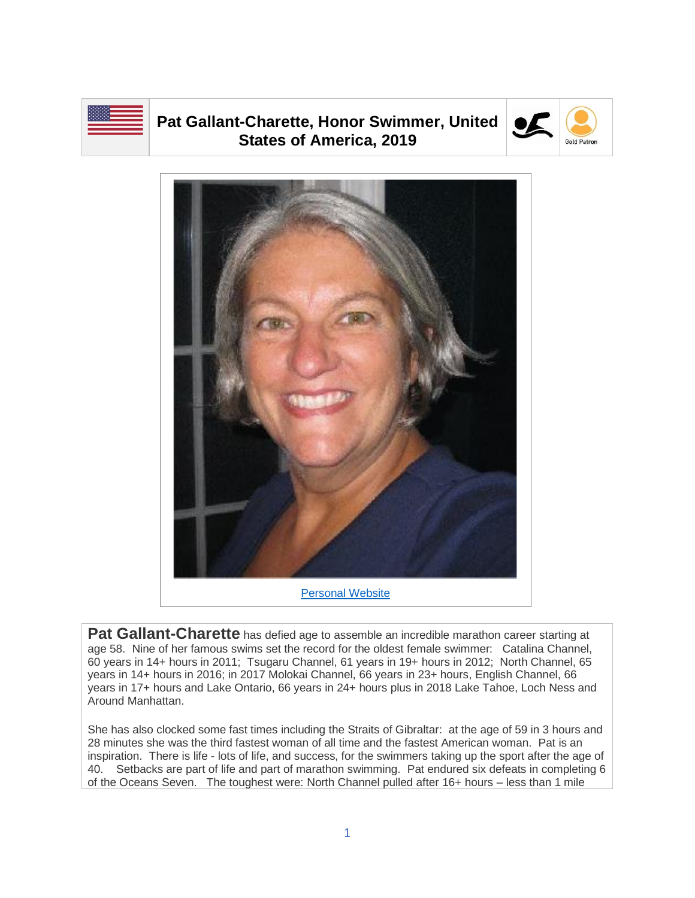

## **Pat Gallant-Charette, Honor Swimmer, United States of America, 2019**





**Pat Gallant-Charette** has defied age to assemble an incredible marathon career starting at age 58. Nine of her famous swims set the record for the oldest female swimmer: Catalina Channel, 60 years in 14+ hours in 2011; Tsugaru Channel, 61 years in 19+ hours in 2012; North Channel, 65 years in 14+ hours in 2016; in 2017 Molokai Channel, 66 years in 23+ hours, English Channel, 66 years in 17+ hours and Lake Ontario, 66 years in 24+ hours plus in 2018 Lake Tahoe, Loch Ness and Around Manhattan.

She has also clocked some fast times including the Straits of Gibraltar: at the age of 59 in 3 hours and 28 minutes she was the third fastest woman of all time and the fastest American woman. Pat is an inspiration. There is life - lots of life, and success, for the swimmers taking up the sport after the age of 40. Setbacks are part of life and part of marathon swimming. Pat endured six defeats in completing 6 of the Oceans Seven. The toughest were: North Channel pulled after 16+ hours – less than 1 mile